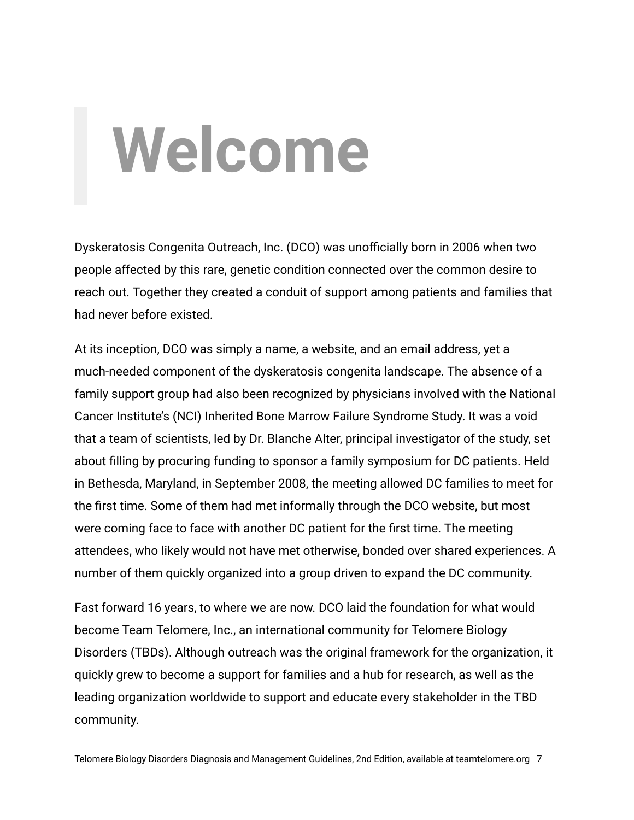## **Welcome**

Dyskeratosis Congenita Outreach, Inc. (DCO) was unofficially born in 2006 when two people affected by this rare, genetic condition connected over the common desire to reach out. Together they created a conduit of support among patients and families that had never before existed.

At its inception, DCO was simply a name, a website, and an email address, yet a much-needed component of the dyskeratosis congenita landscape. The absence of a family support group had also been recognized by physicians involved with the National Cancer Institute's (NCI) Inherited Bone Marrow Failure Syndrome Study. It was a void that a team of scientists, led by Dr. Blanche Alter, principal investigator of the study, set about filling by procuring funding to sponsor a family symposium for DC patients. Held in Bethesda, Maryland, in September 2008, the meeting allowed DC families to meet for the first time. Some of them had met informally through the DCO website, but most were coming face to face with another DC patient for the first time. The meeting attendees, who likely would not have met otherwise, bonded over shared experiences. A number of them quickly organized into a group driven to expand the DC community.

Fast forward 16 years, to where we are now. DCO laid the foundation for what would become Team Telomere, Inc., an international community for Telomere Biology Disorders (TBDs). Although outreach was the original framework for the organization, it quickly grew to become a support for families and a hub for research, as well as the leading organization worldwide to support and educate every stakeholder in the TBD community.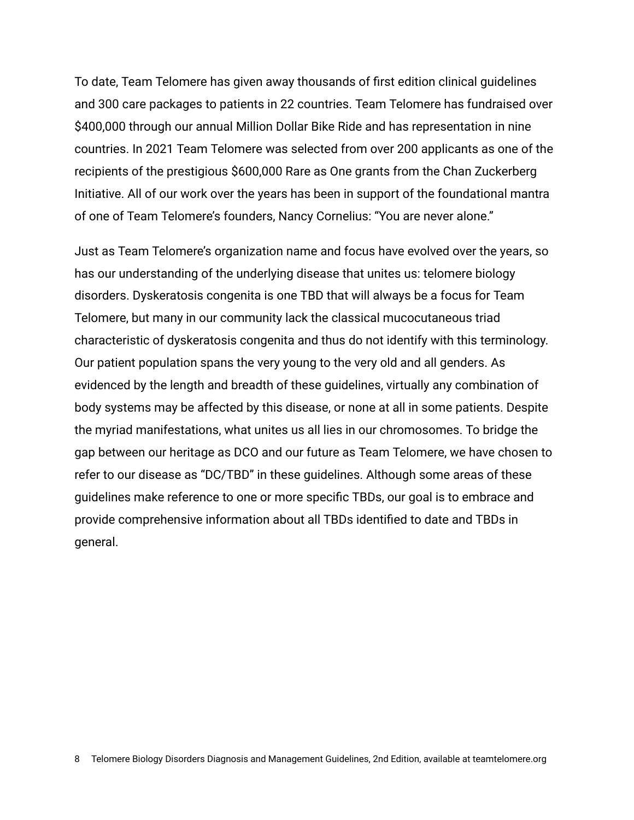To date, Team Telomere has given away thousands of first edition clinical guidelines and 300 care packages to patients in 22 countries. Team Telomere has fundraised over \$400,000 through our annual Million Dollar Bike Ride and has representation in nine countries. In 2021 Team Telomere was selected from over 200 applicants as one of the recipients of the prestigious \$600,000 Rare as One grants from the Chan Zuckerberg Initiative. All of our work over the years has been in support of the foundational mantra of one of Team Telomere's founders, Nancy Cornelius: "You are never alone."

Just as Team Telomere's organization name and focus have evolved over the years, so has our understanding of the underlying disease that unites us: telomere biology disorders. Dyskeratosis congenita is one TBD that will always be a focus for Team Telomere, but many in our community lack the classical mucocutaneous triad characteristic of dyskeratosis congenita and thus do not identify with this terminology. Our patient population spans the very young to the very old and all genders. As evidenced by the length and breadth of these guidelines, virtually any combination of body systems may be affected by this disease, or none at all in some patients. Despite the myriad manifestations, what unites us all lies in our chromosomes. To bridge the gap between our heritage as DCO and our future as Team Telomere, we have chosen to refer to our disease as "DC/TBD" in these guidelines. Although some areas of these guidelines make reference to one or more specific TBDs, our goal is to embrace and provide comprehensive information about all TBDs identified to date and TBDs in general.